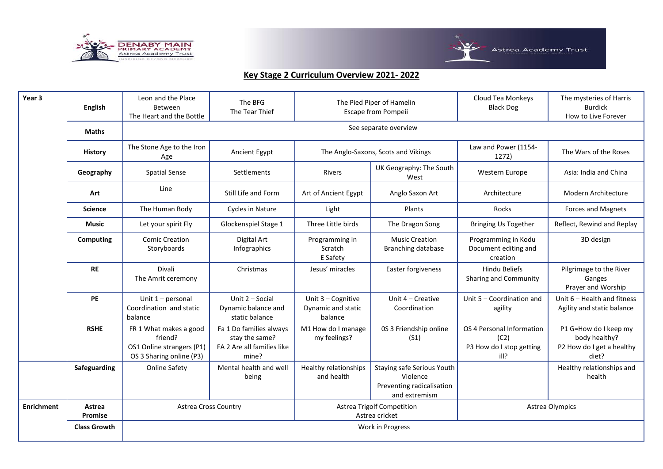



| Year <sub>3</sub> | English                  | Leon and the Place<br>Between<br>The Heart and the Bottle                                  | The BFG<br>The Tear Thief                                                        |                                                     | The Pied Piper of Hamelin<br>Escape from Pompeii                                     | Cloud Tea Monkeys<br><b>Black Dog</b>                                 | The mysteries of Harris<br><b>Burdick</b><br>How to Live Forever             |
|-------------------|--------------------------|--------------------------------------------------------------------------------------------|----------------------------------------------------------------------------------|-----------------------------------------------------|--------------------------------------------------------------------------------------|-----------------------------------------------------------------------|------------------------------------------------------------------------------|
|                   | <b>Maths</b>             |                                                                                            |                                                                                  |                                                     | See separate overview                                                                |                                                                       |                                                                              |
|                   | <b>History</b>           | The Stone Age to the Iron<br>Age                                                           | Ancient Egypt<br>The Anglo-Saxons, Scots and Vikings                             |                                                     |                                                                                      | Law and Power (1154-<br>1272)                                         | The Wars of the Roses                                                        |
|                   | Geography                | <b>Spatial Sense</b>                                                                       | Settlements                                                                      | Rivers                                              | UK Geography: The South<br>West                                                      | Western Europe                                                        | Asia: India and China                                                        |
|                   | Art                      | Line                                                                                       | Still Life and Form                                                              | Art of Ancient Egypt                                | Anglo Saxon Art                                                                      | Architecture                                                          | Modern Architecture                                                          |
|                   | <b>Science</b>           | The Human Body                                                                             | <b>Cycles in Nature</b>                                                          | Light                                               | Plants                                                                               | Rocks                                                                 | <b>Forces and Magnets</b>                                                    |
|                   | <b>Music</b>             | Let your spirit Fly                                                                        | Glockenspiel Stage 1                                                             | Three Little birds                                  | The Dragon Song                                                                      | <b>Bringing Us Together</b>                                           | Reflect, Rewind and Replay                                                   |
|                   | Computing                | <b>Comic Creation</b><br>Storyboards                                                       | Digital Art<br>Infographics                                                      | Programming in<br>Scratch<br>E Safety               | <b>Music Creation</b><br>Branching database                                          | Programming in Kodu<br>Document editing and<br>creation               | 3D design                                                                    |
|                   | <b>RE</b>                | Divali<br>The Amrit ceremony                                                               | Christmas                                                                        | Jesus' miracles                                     | Easter forgiveness                                                                   | <b>Hindu Beliefs</b><br>Sharing and Community                         | Pilgrimage to the River<br>Ganges<br>Prayer and Worship                      |
|                   | <b>PE</b>                | Unit $1$ – personal<br>Coordination and static<br>balance                                  | Unit 2 - Social<br>Dynamic balance and<br>static balance                         | Unit 3 - Cognitive<br>Dynamic and static<br>balance | Unit 4 - Creative<br>Coordination                                                    | Unit 5 - Coordination and<br>agility                                  | Unit 6 - Health and fitness<br>Agility and static balance                    |
|                   | <b>RSHE</b>              | FR 1 What makes a good<br>friend?<br>OS1 Online strangers (P1)<br>OS 3 Sharing online (P3) | Fa 1 Do families always<br>stay the same?<br>FA 2 Are all families like<br>mine? | M1 How do I manage<br>my feelings?                  | 0S 3 Friendship online<br>(S1)                                                       | OS 4 Personal Information<br>(C2)<br>P3 How do I stop getting<br>ill? | P1 G=How do I keep my<br>body healthy?<br>P2 How do I get a healthy<br>diet? |
|                   | Safeguarding             | <b>Online Safety</b>                                                                       | Mental health and well<br>being                                                  | Healthy relationships<br>and health                 | Staying safe Serious Youth<br>Violence<br>Preventing radicalisation<br>and extremism |                                                                       | Healthy relationships and<br>health                                          |
| <b>Enrichment</b> | Astrea<br><b>Promise</b> | <b>Astrea Cross Country</b>                                                                |                                                                                  | Astrea Trigolf Competition<br>Astrea cricket        |                                                                                      | Astrea Olympics                                                       |                                                                              |
|                   | <b>Class Growth</b>      | Work in Progress                                                                           |                                                                                  |                                                     |                                                                                      |                                                                       |                                                                              |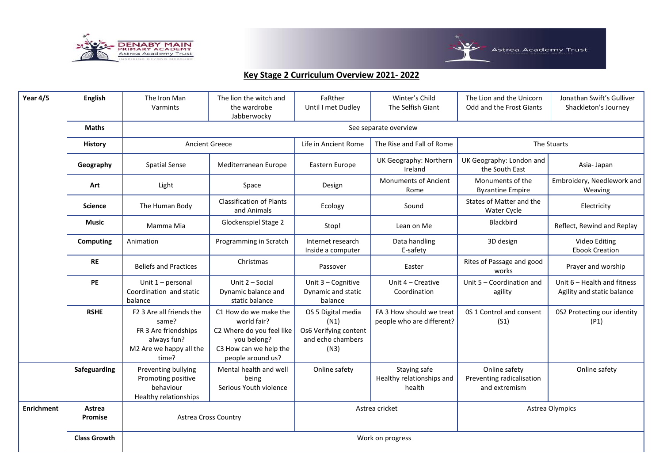



| Year 4/5          | <b>English</b>      | The Iron Man<br>Varmints                                                                                     | The lion the witch and<br>the wardrobe<br>Jabberwocky                                                                           | FaRther<br>Until I met Dudley                                                    | Winter's Child<br>The Selfish Giant                   | The Lion and the Unicorn<br>Odd and the Frost Giants        | Jonathan Swift's Gulliver<br>Shackleton's Journey         |  |
|-------------------|---------------------|--------------------------------------------------------------------------------------------------------------|---------------------------------------------------------------------------------------------------------------------------------|----------------------------------------------------------------------------------|-------------------------------------------------------|-------------------------------------------------------------|-----------------------------------------------------------|--|
|                   | <b>Maths</b>        |                                                                                                              |                                                                                                                                 |                                                                                  | See separate overview                                 |                                                             |                                                           |  |
|                   | <b>History</b>      | <b>Ancient Greece</b>                                                                                        |                                                                                                                                 | Life in Ancient Rome                                                             | The Rise and Fall of Rome                             |                                                             | The Stuarts                                               |  |
|                   | Geography           | <b>Spatial Sense</b>                                                                                         | Mediterranean Europe                                                                                                            | Eastern Europe                                                                   | UK Geography: Northern<br>Ireland                     | UK Geography: London and<br>the South East                  | Asia-Japan                                                |  |
|                   | Art                 | Light                                                                                                        | Space                                                                                                                           | Design                                                                           | <b>Monuments of Ancient</b><br>Rome                   | Monuments of the<br><b>Byzantine Empire</b>                 | Embroidery, Needlework and<br>Weaving                     |  |
|                   | <b>Science</b>      | The Human Body                                                                                               | <b>Classification of Plants</b><br>and Animals                                                                                  | Ecology                                                                          | Sound                                                 | States of Matter and the<br>Water Cycle                     | Electricity                                               |  |
|                   | Music               | Mamma Mia                                                                                                    | Glockenspiel Stage 2                                                                                                            | Stop!                                                                            | Lean on Me                                            | Blackbird                                                   | Reflect, Rewind and Replay                                |  |
|                   | <b>Computing</b>    | Animation                                                                                                    | Programming in Scratch                                                                                                          | Internet research<br>Inside a computer                                           | Data handling<br>E-safety                             | 3D design                                                   | Video Editing<br><b>Ebook Creation</b>                    |  |
|                   | <b>RE</b>           | <b>Beliefs and Practices</b>                                                                                 | Christmas                                                                                                                       | Passover                                                                         | Easter                                                | Rites of Passage and good<br>works                          | Prayer and worship                                        |  |
|                   | PE                  | Unit $1$ – personal<br>Coordination and static<br>balance                                                    | Unit 2 - Social<br>Dynamic balance and<br>static balance                                                                        | Unit 3 - Cognitive<br>Dynamic and static<br>balance                              | Unit 4 - Creative<br>Coordination                     | Unit 5 - Coordination and<br>agility                        | Unit 6 - Health and fitness<br>Agility and static balance |  |
|                   | <b>RSHE</b>         | F2 3 Are all friends the<br>same?<br>FR 3 Are friendships<br>always fun?<br>M2 Are we happy all the<br>time? | C1 How do we make the<br>world fair?<br>C2 Where do you feel like<br>you belong?<br>C3 How can we help the<br>people around us? | OS 5 Digital media<br>(N1)<br>Os6 Verifying content<br>and echo chambers<br>(N3) | FA 3 How should we treat<br>people who are different? | 0S 1 Control and consent<br>(S1)                            | 0S2 Protecting our identity<br>(P1)                       |  |
|                   | Safeguarding        | Preventing bullying<br>Promoting positive<br>behaviour<br>Healthy relationships                              | Mental health and well<br>being<br>Serious Youth violence                                                                       | Online safety                                                                    | Staying safe<br>Healthy relationships and<br>health   | Online safety<br>Preventing radicalisation<br>and extremism | Online safety                                             |  |
| <b>Enrichment</b> | Astrea<br>Promise   | <b>Astrea Cross Country</b>                                                                                  |                                                                                                                                 | Astrea cricket<br>Astrea Olympics                                                |                                                       |                                                             |                                                           |  |
|                   | <b>Class Growth</b> | Work on progress                                                                                             |                                                                                                                                 |                                                                                  |                                                       |                                                             |                                                           |  |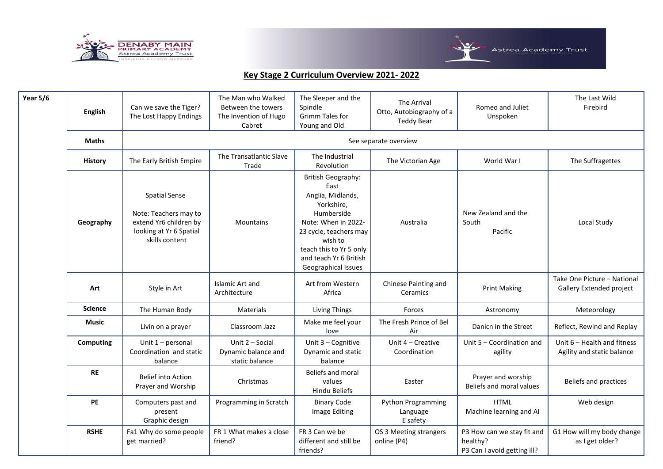



| <b>Year 5/6</b> | <b>English</b> | Can we save the Tiger?<br>The Lost Happy Endings                                                                     | The Man who Walked<br>Between the towers<br>The Invention of Hugo<br>Cabret | The Sleeper and the<br>Spindle<br>Grimm Tales for<br>Young and Old                                                                                                                                                  | The Arrival<br>Otto, Autobiography of a<br>Teddy Bear | Romeo and Juliet<br>Unspoken                                          | The Last Wild<br>Firebird                                 |  |
|-----------------|----------------|----------------------------------------------------------------------------------------------------------------------|-----------------------------------------------------------------------------|---------------------------------------------------------------------------------------------------------------------------------------------------------------------------------------------------------------------|-------------------------------------------------------|-----------------------------------------------------------------------|-----------------------------------------------------------|--|
|                 | <b>Maths</b>   | See separate overview                                                                                                |                                                                             |                                                                                                                                                                                                                     |                                                       |                                                                       |                                                           |  |
|                 | <b>History</b> | The Early British Empire                                                                                             | The Transatlantic Slave<br>Trade                                            | The Industrial<br>Revolution                                                                                                                                                                                        | The Victorian Age                                     | World War I                                                           | The Suffragettes                                          |  |
|                 | Geography      | <b>Spatial Sense</b><br>Note: Teachers may to<br>extend Yr6 children by<br>looking at Yr 6 Spatial<br>skills content | <b>Mountains</b>                                                            | British Geography:<br>East<br>Anglia, Midlands,<br>Yorkshire,<br>Humberside<br>Note: When in 2022-<br>23 cycle, teachers may<br>wish to<br>teach this to Yr 5 only<br>and teach Yr 6 British<br>Geographical Issues | Australia                                             | New Zealand and the<br>South<br>Pacific                               | Local Study                                               |  |
|                 | Art            | Style in Art                                                                                                         | <b>Islamic Art and</b><br>Architecture                                      | Art from Western<br>Africa                                                                                                                                                                                          | Chinese Painting and<br>Ceramics                      | <b>Print Making</b>                                                   | Take One Picture - National<br>Gallery Extended project   |  |
|                 | <b>Science</b> | The Human Body                                                                                                       | <b>Materials</b>                                                            | <b>Living Things</b>                                                                                                                                                                                                | Forces                                                | Astronomy                                                             | Meteorology                                               |  |
|                 | <b>Music</b>   | Livin on a prayer                                                                                                    | Classroom Jazz                                                              | Make me feel your<br>love                                                                                                                                                                                           | The Fresh Prince of Bel<br>Air                        | Danicn in the Street                                                  | Reflect, Rewind and Replay                                |  |
|                 | Computing      | Unit $1$ – personal<br>Coordination and static<br>balance                                                            | Unit 2 - Social<br>Dynamic balance and<br>static balance                    | Unit 3 - Cognitive<br>Dynamic and static<br>balance                                                                                                                                                                 | Unit 4 - Creative<br>Coordination                     | Unit 5 - Coordination and<br>agility                                  | Unit 6 - Health and fitness<br>Agility and static balance |  |
|                 | <b>RE</b>      | <b>Belief into Action</b><br>Prayer and Worship                                                                      | Christmas                                                                   | <b>Beliefs and moral</b><br>values<br><b>Hindu Beliefs</b>                                                                                                                                                          | Easter                                                | Prayer and worship<br>Beliefs and moral values                        | Beliefs and practices                                     |  |
|                 | PE             | Computers past and<br>present<br>Graphic design                                                                      | Programming in Scratch                                                      | <b>Binary Code</b><br>Image Editing                                                                                                                                                                                 | Python Programming<br>Language<br>E safety            | <b>HTML</b><br>Machine learning and Al                                | Web design                                                |  |
|                 | <b>RSHE</b>    | Fa1 Why do some people<br>get married?                                                                               | FR 1 What makes a close<br>friend?                                          | FR 3 Can we be<br>different and still be<br>friends?                                                                                                                                                                | OS 3 Meeting strangers<br>online (P4)                 | P3 How can we stay fit and<br>healthy?<br>P3 Can I avoid getting ill? | G1 How will my body change<br>as I get older?             |  |